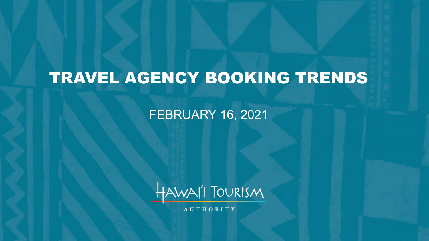# TRAVEL AGENCY BOOKING TRENDS

### FEBRUARY 16, 2021



AUTHORITY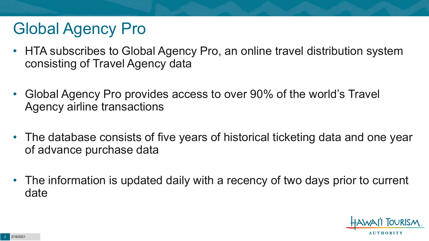# Global Agency Pro

- HTA subscribes to Global Agency Pro, an online travel distribution system consisting of Travel Agency data
- Global Agency Pro provides access to over 90% of the world's Travel Agency airline transactions
- The database consists of five years of historical ticketing data and one year of advance purchase data
- The information is updated daily with a recency of two days prior to current date

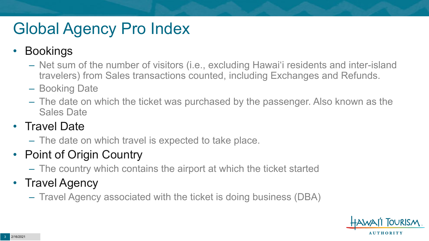# Global Agency Pro Index

### • Bookings

- Net sum of the number of visitors (i.e., excluding Hawai'i residents and inter-island travelers) from Sales transactions counted, including Exchanges and Refunds.
- Booking Date
- The date on which the ticket was purchased by the passenger. Also known as the Sales Date

### • Travel Date

– The date on which travel is expected to take place.

## • Point of Origin Country

– The country which contains the airport at which the ticket started

## • Travel Agency

– Travel Agency associated with the ticket is doing business (DBA)

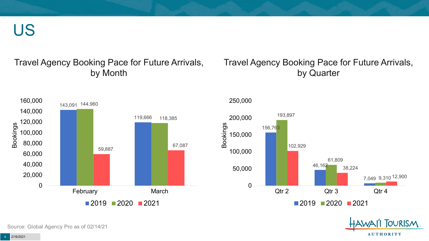US

#### Travel Agency Booking Pace for Future Arrivals, by Month

#### Travel Agency Booking Pace for Future Arrivals, by Quarter





250,000

**OURISM AUTHORITY** 

Source: Global Agency Pro as of 02/14/21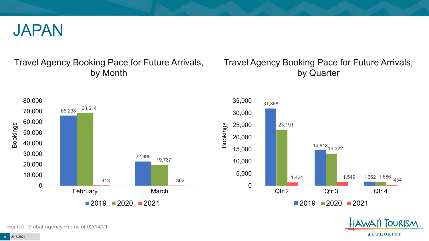

#### Travel Agency Booking Pace for Future Arrivals, by Month

### Travel Agency Booking Pace for Future Arrivals, by Quarter





Source: Global Agency Pro as of 02/14/21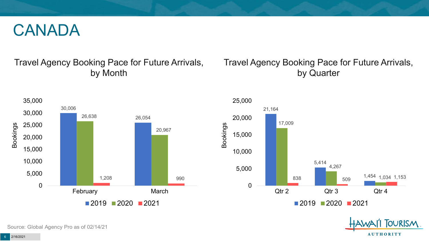## CANADA

### Travel Agency Booking Pace for Future Arrivals, by Month

### Travel Agency Booking Pace for Future Arrivals, by Quarter





**FOURISM** 

**AUTHORITY** 

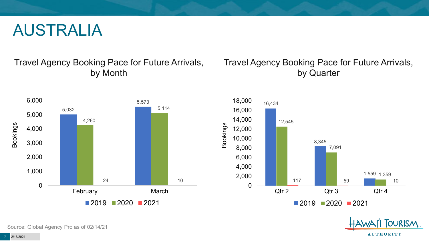## AUSTRALIA

Travel Agency Booking Pace for Future Arrivals, by Month



### Travel Agency Booking Pace for Future Arrivals, by Quarter





Source: Global Agency Pro as of 02/14/21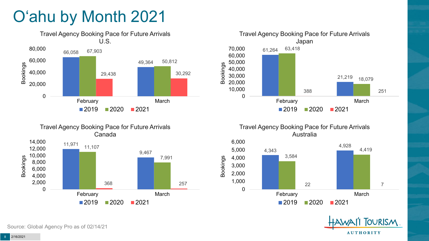# O'ahu by Month 2021











Source: Global Agency Pro as of 02/14/21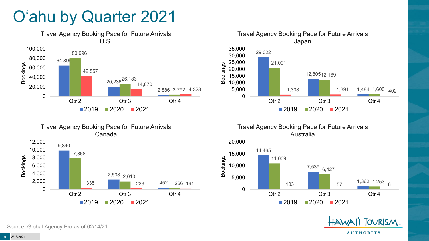# O'ahu by Quarter 2021





Travel Agency Booking Pace for Future Arrivals Australia







Travel Agency Booking Pace for Future Arrivals Canada

 $2019$  2020 2021

Source: Global Agency Pro as of 02/14/21

12,000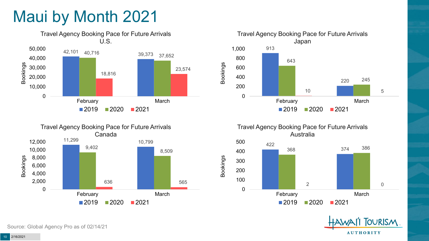# Maui by Month 2021











Source: Global Agency Pro as of 02/14/21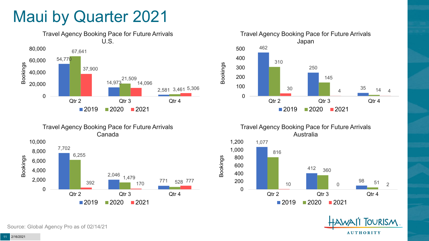## Maui by Quarter 2021





Travel Agency Booking Pace for Future Arrivals Japan 462 250 35 310 145  $\frac{30}{4}$  14 4 0 100 200 300 400 500 Qtr 2 Qtr 3 Qtr 4  $2019$  2020 2021

Bookings

Bookings

Travel Agency Booking Pace for Future Arrivals Australia





Source: Global Agency Pro as of 02/14/21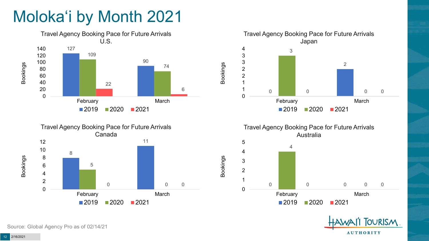# Moloka'i by Month 2021







Travel Agency Booking Pace for Future Arrivals Australia



Bookings



Source: Global Agency Pro as of 02/14/21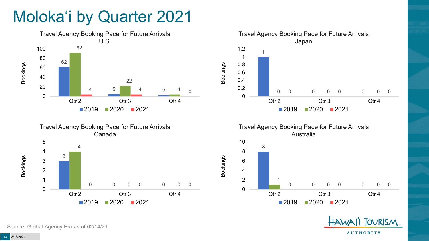# Moloka'i by Quarter 2021





Travel Agency Booking Pace for Future Arrivals Japan 0 0 0 0 0 0 0 0.2 0.4 0.6 0.8 1.2 Qtr 2 Qtr 3 Qtr 4 2020 2021

Bookings





Source: Global Agency Pro as of 02/14/21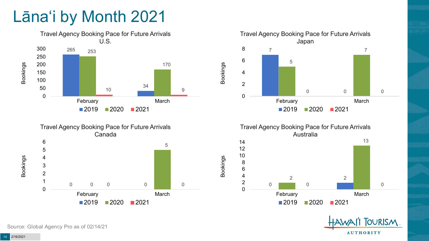# Lāna'i by Month 2021











Source: Global Agency Pro as of 02/14/21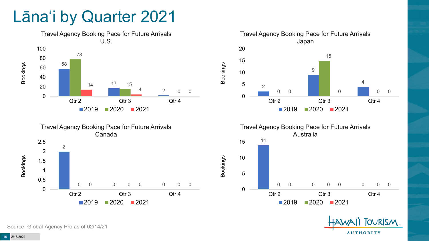## Lāna'i by Quarter 2021











Source: Global Agency Pro as of 02/14/21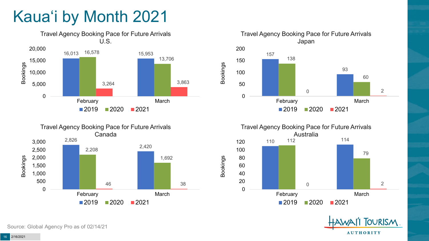# Kaua'i by Month 2021











Source: Global Agency Pro as of 02/14/21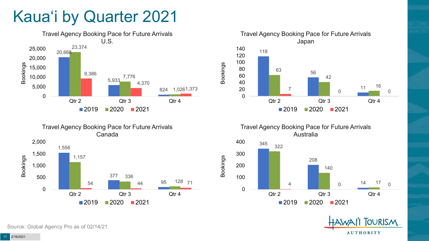# Kaua'i by Quarter 2021







Travel Agency Booking Pace for Future Arrivals Australia

Bookings



**OURISM AUTHORITY** 

Source: Global Agency Pro as of 02/14/21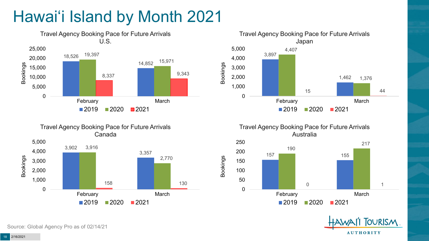# Hawai'i Island by Month 2021









Bookings





Source: Global Agency Pro as of 02/14/21